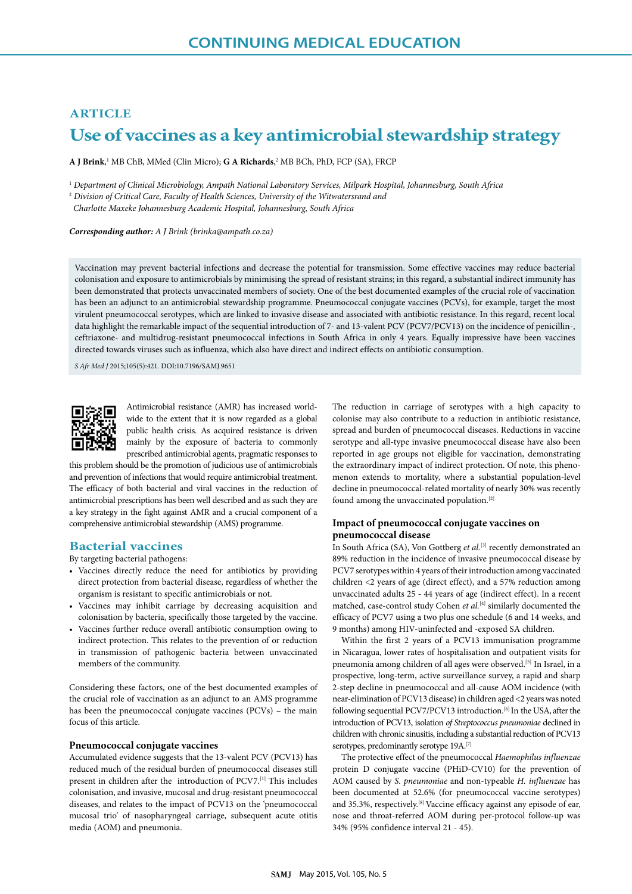# **ARTICLE Use of vaccines as a key antimicrobial stewardship strategy**

**A J Brink**, 1 MB ChB, MMed (Clin Micro); **G A Richards**, 2 MB BCh, PhD, FCP (SA), FRCP

<sup>1</sup> *Department of Clinical Microbiology, Ampath National Laboratory Services, Milpark Hospital, Johannesburg, South Africa*

<sup>2</sup> *Division of Critical Care, Faculty of Health Sciences, University of the Witwatersrand and* 

 *Charlotte Maxeke Johannesburg Academic Hospital, Johannesburg, South Africa* 

*Corresponding author: A J Brink (brinka@ampath.co.za)*

Vaccination may prevent bacterial infections and decrease the potential for transmission. Some effective vaccines may reduce bacterial colonisation and exposure to antimicrobials by minimising the spread of resistant strains; in this regard, a substantial indirect immunity has been demonstrated that protects unvaccinated members of society. One of the best documented examples of the crucial role of vaccination has been an adjunct to an antimicrobial stewardship programme. Pneumococcal conjugate vaccines (PCVs), for example, target the most virulent pneumococcal serotypes, which are linked to invasive disease and associated with antibiotic resistance. In this regard, recent local data highlight the remarkable impact of the sequential introduction of 7- and 13-valent PCV (PCV7/PCV13) on the incidence of penicillin-, ceftriaxone- and multidrug-resistant pneumococcal infections in South Africa in only 4 years. Equally impressive have been vaccines directed towards viruses such as influenza, which also have direct and indirect effects on antibiotic consumption.

*S Afr Med J* 2015;105(5):421. DOI:10.7196/SAMJ.9651



Antimicrobial resistance (AMR) has increased worldwide to the extent that it is now regarded as a global public health crisis. As acquired resistance is driven mainly by the exposure of bacteria to commonly prescribed antimicrobial agents, pragmatic responses to

this problem should be the promotion of judicious use of antimicrobials and prevention of infections that would require antimicrobial treatment. The efficacy of both bacterial and viral vaccines in the reduction of antimicrobial prescriptions has been well described and as such they are a key strategy in the fight against AMR and a crucial component of a comprehensive antimicrobial stewardship (AMS) programme.

# **Bacterial vaccines**

By targeting bacterial pathogens:

- Vaccines directly reduce the need for antibiotics by providing direct protection from bacterial disease, regardless of whether the organism is resistant to specific antimicrobials or not.
- Vaccines may inhibit carriage by decreasing acquisition and colonisation by bacteria, specifically those targeted by the vaccine.
- Vaccines further reduce overall antibiotic consumption owing to indirect protection. This relates to the prevention of or reduction in transmission of pathogenic bacteria between unvaccinated members of the community.

Considering these factors, one of the best documented examples of the crucial role of vaccination as an adjunct to an AMS programme has been the pneumococcal conjugate vaccines (PCVs) – the main focus of this article.

#### **Pneumococcal conjugate vaccines**

Accumulated evidence suggests that the 13-valent PCV (PCV13) has reduced much of the residual burden of pneumococcal diseases still present in children after the introduction of PCV7.[1] This includes colonisation, and invasive, mucosal and drug-resistant pneumococcal diseases, and relates to the impact of PCV13 on the 'pneumococcal mucosal trio' of nasopharyngeal carriage, subsequent acute otitis media (AOM) and pneumonia.

The reduction in carriage of serotypes with a high capacity to colonise may also contribute to a reduction in antibiotic resistance, spread and burden of pneumococcal diseases. Reductions in vaccine serotype and all-type invasive pneumococcal disease have also been reported in age groups not eligible for vaccination, demonstrating the extraordinary impact of indirect protection. Of note, this phenomenon extends to mortality, where a substantial population-level decline in pneumococcal-related mortality of nearly 30% was recently found among the unvaccinated population.[2]

#### **Impact of pneumococcal conjugate vaccines on pneumococcal disease**

In South Africa (SA), Von Gottberg *et al.*[3] recently demonstrated an 89% reduction in the incidence of invasive pneumococcal disease by PCV7 serotypes within 4 years of their introduction among vaccinated children <2 years of age (direct effect), and a 57% reduction among unvaccinated adults 25 - 44 years of age (indirect effect). In a recent matched, case-control study Cohen *et al.*<sup>[4]</sup> similarly documented the efficacy of PCV7 using a two plus one schedule (6 and 14 weeks, and 9 months) among HIV-uninfected and -exposed SA children.

Within the first 2 years of a PCV13 immunisation programme in Nicaragua, lower rates of hospitalisation and outpatient visits for pneumonia among children of all ages were observed.[5] In Israel, in a prospective, long-term, active surveillance survey, a rapid and sharp 2-step decline in pneumococcal and all-cause AOM incidence (with near-elimination of PCV13 disease) in children aged <2 years was noted following sequential PCV7/PCV13 introduction.<sup>[6]</sup> In the USA, after the introduction of PCV13, isolation *of Streptococcus pneumoniae* declined in children with chronic sinusitis, including a substantial reduction of PCV13 serotypes, predominantly serotype 19A.<sup>[7]</sup>

The protective effect of the pneumococcal *Haemophilus influenzae* protein D conjugate vaccine (PHiD-CV10) for the prevention of AOM caused by *S. pneumoniae* and non-typeable *H. influenzae* has been documented at 52.6% (for pneumococcal vaccine serotypes) and 35.3%, respectively.<sup>[8]</sup> Vaccine efficacy against any episode of ear, nose and throat-referred AOM during per-protocol follow-up was 34% (95% confidence interval 21 - 45).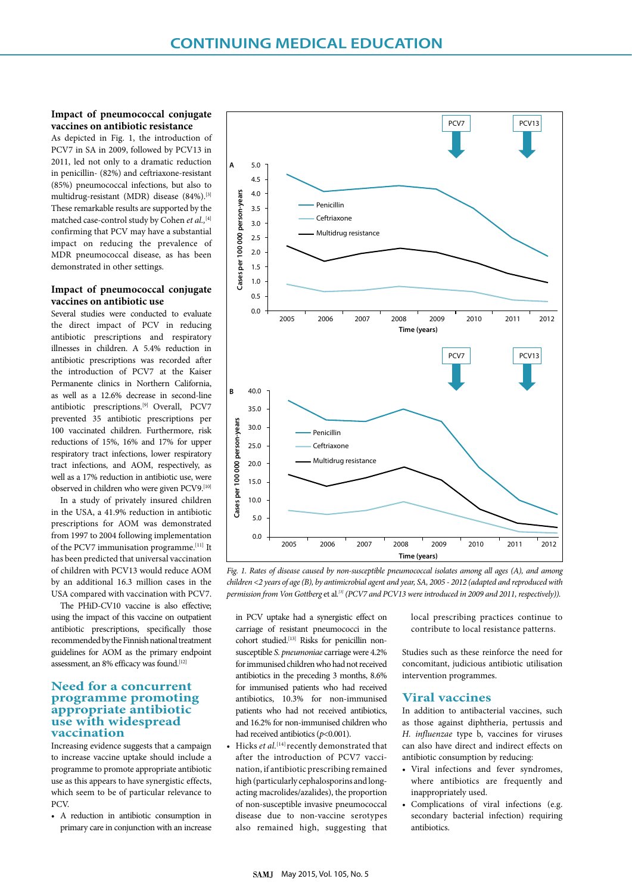# **Impact of pneumococcal conjugate vaccines on antibiotic resistance**

As depicted in Fig. 1, the introduction of PCV7 in SA in 2009, followed by PCV13 in 2011, led not only to a dramatic reduction in penicillin- (82%) and ceftriaxone-resistant (85%) pneumococcal infections, but also to multidrug-resistant (MDR) disease (84%).<sup>[3]</sup> These remarkable results are supported by the matched case-control study by Cohen *et al.,*[4] confirming that PCV may have a substantial impact on reducing the prevalence of MDR pneumococcal disease, as has been demonstrated in other settings.

# **Impact of pneumococcal conjugate vaccines on antibiotic use**

Several studies were conducted to evaluate the direct impact of PCV in reducing antibiotic prescriptions and respiratory illnesses in children. A 5.4% reduction in antibiotic prescriptions was recorded after the introduction of PCV7 at the Kaiser Permanente clinics in Northern California, as well as a 12.6% decrease in second-line antibiotic prescriptions.<sup>[9]</sup> Overall, PCV7 prevented 35 antibiotic prescriptions per 100 vaccinated children. Furthermore, risk reductions of 15%, 16% and 17% for upper respiratory tract infections, lower respiratory tract infections, and AOM, respectively, as well as a 17% reduction in antibiotic use, were observed in children who were given PCV9.[10]

In a study of privately insured children in the USA, a 41.9% reduction in antibiotic prescriptions for AOM was demonstrated from 1997 to 2004 following implementation of the PCV7 immunisation programme.<sup>[11]</sup> It has been predicted that universal vaccination of children with PCV13 would reduce AOM by an additional 16.3 million cases in the USA compared with vaccination with PCV7.

The PHiD-CV10 vaccine is also effective; using the impact of this vaccine on outpatient antibiotic prescriptions, specifically those recommended by the Finnish national treatment guidelines for AOM as the primary endpoint assessment, an 8% efficacy was found.<sup>[12]</sup>

# **Need for a concurrent programme promoting appropriate antibiotic use with widespread vaccination**

Increasing evidence suggests that a campaign to increase vaccine uptake should include a programme to promote appropriate antibiotic use as this appears to have synergistic effects, which seem to be of particular relevance to P<sub>C</sub>V

• A reduction in antibiotic consumption in primary care in conjunction with an increase



*Fig. 1. Rates of disease caused by non-susceptible pneumococcal isolates among all ages (A), and among children <2 years of age (B), by antimicrobial agent and year, SA, 2005 - 2012 (adapted and reproduced with permission from Von Gottberg* et al*. [3] (PCV7 and PCV13 were introduced in 2009 and 2011, respectively)).*

in PCV uptake had a synergistic effect on carriage of resistant pneumococci in the cohort studied.[13] Risks for penicillin nonsusceptible *S. pneumoniae* carriage were 4.2% for immunised children who had not received antibiotics in the preceding 3 months, 8.6% for immunised patients who had received antibiotics, 10.3% for non-immunised patients who had not received antibiotics, and 16.2% for non-immunised children who had received antibiotics ( $p$ <0.001).

Hicks *et al.*<sup>[14]</sup> recently demonstrated that after the introduction of PCV7 vaccination, if antibiotic prescribing remained high (particularly cephalosporins and longacting macrolides/azalides), the proportion of non-susceptible invasive pneumococcal disease due to non-vaccine serotypes also remained high, suggesting that

local prescribing practices continue to contribute to local resistance patterns.

Studies such as these reinforce the need for concomitant, judicious antibiotic utilisation intervention programmes.

# **Viral vaccines**

In addition to antibacterial vaccines, such as those against diphtheria, pertussis and *H. influenzae* type b, vaccines for viruses can also have direct and indirect effects on antibiotic consumption by reducing:

- Viral infections and fever syndromes, where antibiotics are frequently and inappropriately used.
- Complications of viral infections (e.g. secondary bacterial infection) requiring antibiotics.